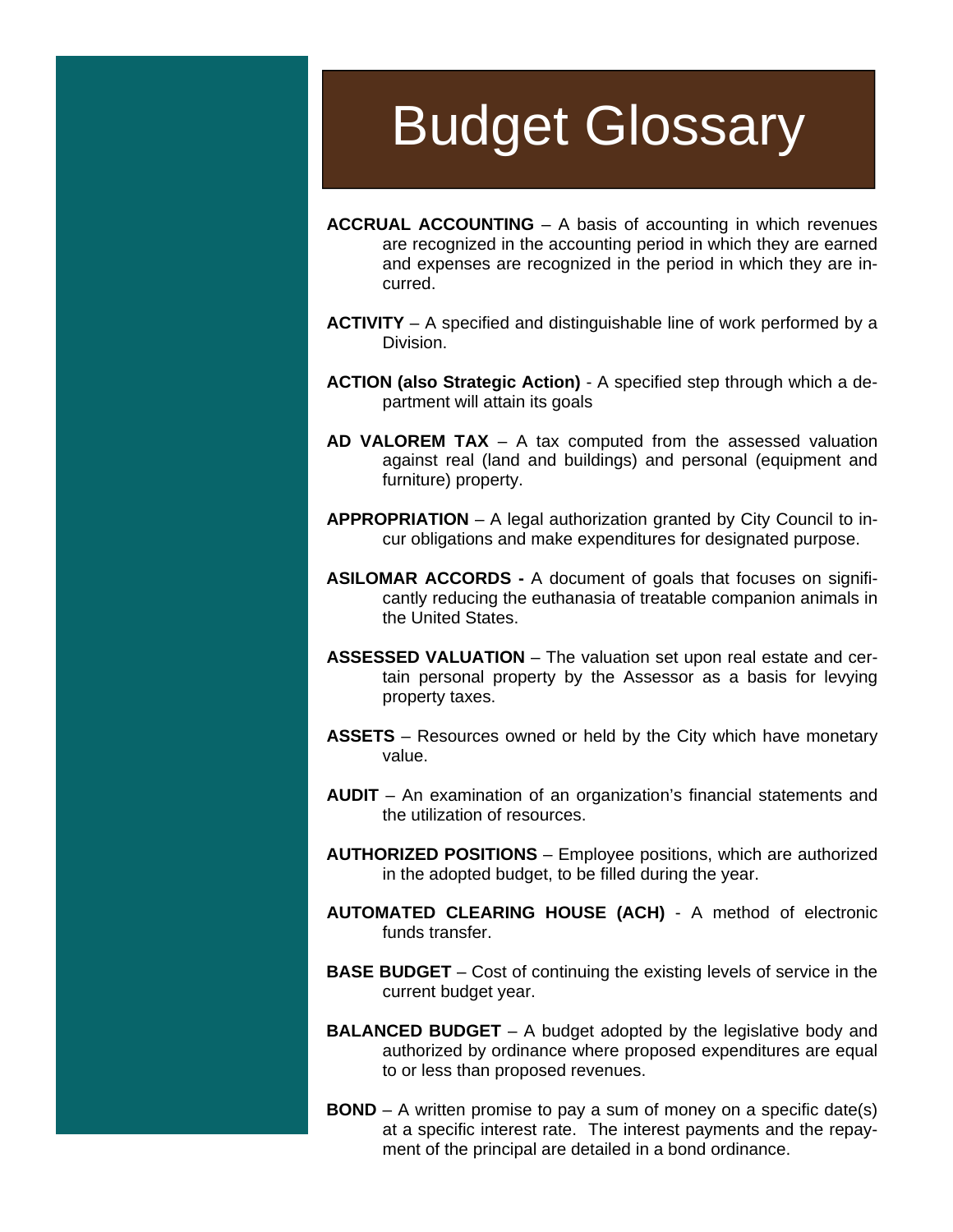## Budget Glossary

- **ACCRUAL ACCOUNTING** A basis of accounting in which revenues are recognized in the accounting period in which they are earned and expenses are recognized in the period in which they are incurred.
- **ACTIVITY** A specified and distinguishable line of work performed by a Division.
- **ACTION (also Strategic Action)**  A specified step through which a department will attain its goals
- **AD VALOREM TAX** A tax computed from the assessed valuation against real (land and buildings) and personal (equipment and furniture) property.
- **APPROPRIATION** A legal authorization granted by City Council to incur obligations and make expenditures for designated purpose.
- **ASILOMAR ACCORDS** A document of goals that focuses on significantly reducing the euthanasia of treatable companion animals in the United States.
- **ASSESSED VALUATION** The valuation set upon real estate and certain personal property by the Assessor as a basis for levying property taxes.
- **ASSETS** Resources owned or held by the City which have monetary value.
- **AUDIT**  An examination of an organization's financial statements and the utilization of resources.
- **AUTHORIZED POSITIONS** Employee positions, which are authorized in the adopted budget, to be filled during the year.
- **AUTOMATED CLEARING HOUSE (ACH)**  A method of electronic funds transfer.
- **BASE BUDGET** Cost of continuing the existing levels of service in the current budget year.
- **BALANCED BUDGET** A budget adopted by the legislative body and authorized by ordinance where proposed expenditures are equal to or less than proposed revenues.
- **BOND** A written promise to pay a sum of money on a specific date(s) at a specific interest rate. The interest payments and the repayment of the principal are detailed in a bond ordinance.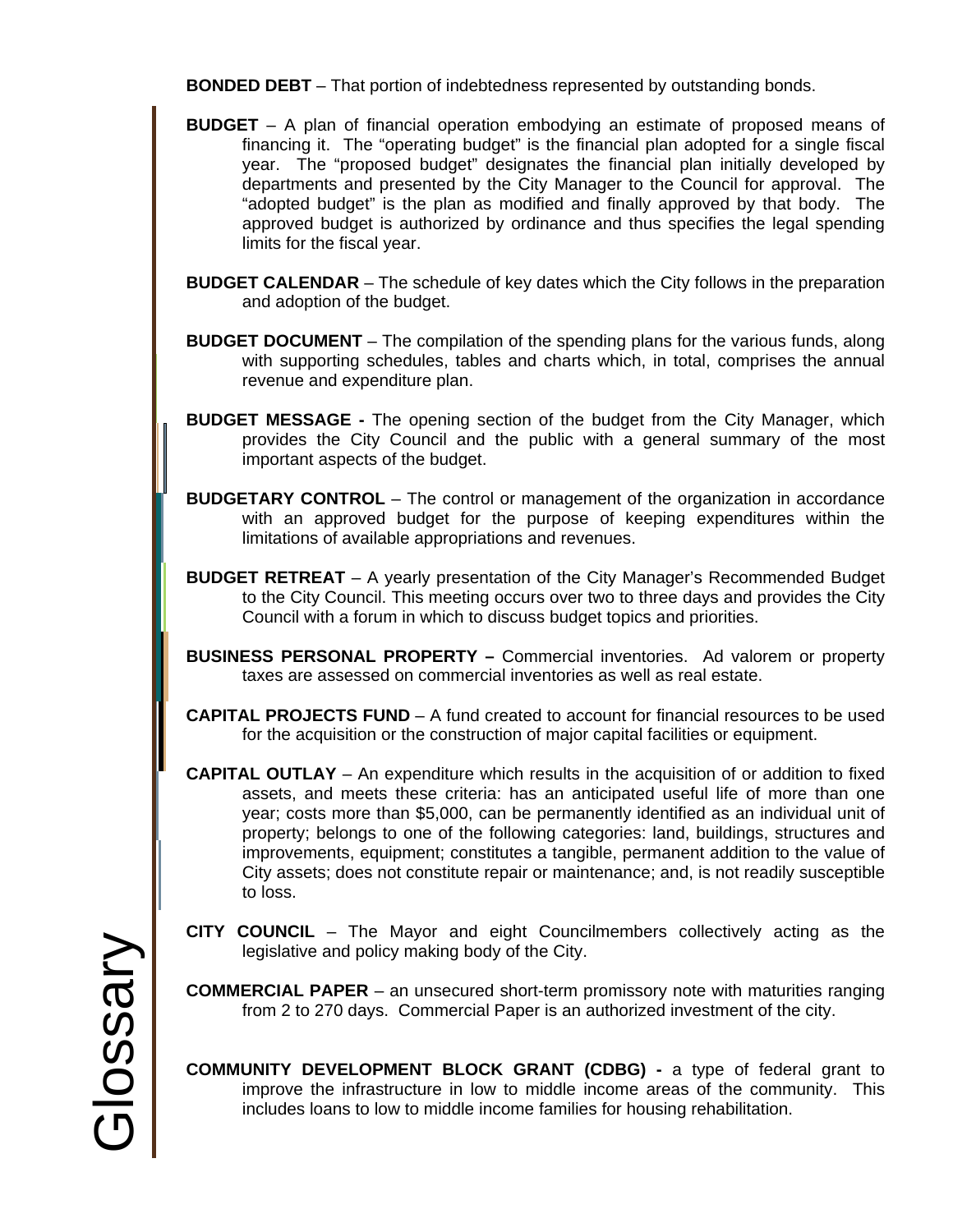**BONDED DEBT** – That portion of indebtedness represented by outstanding bonds.

- **BUDGET** A plan of financial operation embodying an estimate of proposed means of financing it. The "operating budget" is the financial plan adopted for a single fiscal year. The "proposed budget" designates the financial plan initially developed by departments and presented by the City Manager to the Council for approval. The "adopted budget" is the plan as modified and finally approved by that body. The approved budget is authorized by ordinance and thus specifies the legal spending limits for the fiscal year.
- **BUDGET CALENDAR** The schedule of key dates which the City follows in the preparation and adoption of the budget.
- **BUDGET DOCUMENT** The compilation of the spending plans for the various funds, along with supporting schedules, tables and charts which, in total, comprises the annual revenue and expenditure plan.
- **BUDGET MESSAGE** The opening section of the budget from the City Manager, which provides the City Council and the public with a general summary of the most important aspects of the budget.
- **BUDGETARY CONTROL** The control or management of the organization in accordance with an approved budget for the purpose of keeping expenditures within the limitations of available appropriations and revenues.
- **BUDGET RETREAT** A yearly presentation of the City Manager's Recommended Budget to the City Council. This meeting occurs over two to three days and provides the City Council with a forum in which to discuss budget topics and priorities.
- **BUSINESS PERSONAL PROPERTY** Commercial inventories. Ad valorem or property taxes are assessed on commercial inventories as well as real estate.
- **CAPITAL PROJECTS FUND** A fund created to account for financial resources to be used for the acquisition or the construction of major capital facilities or equipment.
- **CAPITAL OUTLAY** An expenditure which results in the acquisition of or addition to fixed assets, and meets these criteria: has an anticipated useful life of more than one year; costs more than \$5,000, can be permanently identified as an individual unit of property; belongs to one of the following categories: land, buildings, structures and improvements, equipment; constitutes a tangible, permanent addition to the value of City assets; does not constitute repair or maintenance; and, is not readily susceptible to loss.
- **CITY COUNCIL** The Mayor and eight Councilmembers collectively acting as the legislative and policy making body of the City.
- **COMMERCIAL PAPER**  an unsecured short-term promissory note with maturities ranging from 2 to 270 days. Commercial Paper is an authorized investment of the city.
- **COMMUNITY DEVELOPMENT BLOCK GRANT (CDBG)** a type of federal grant to improve the infrastructure in low to middle income areas of the community. This includes loans to low to middle income families for housing rehabilitation.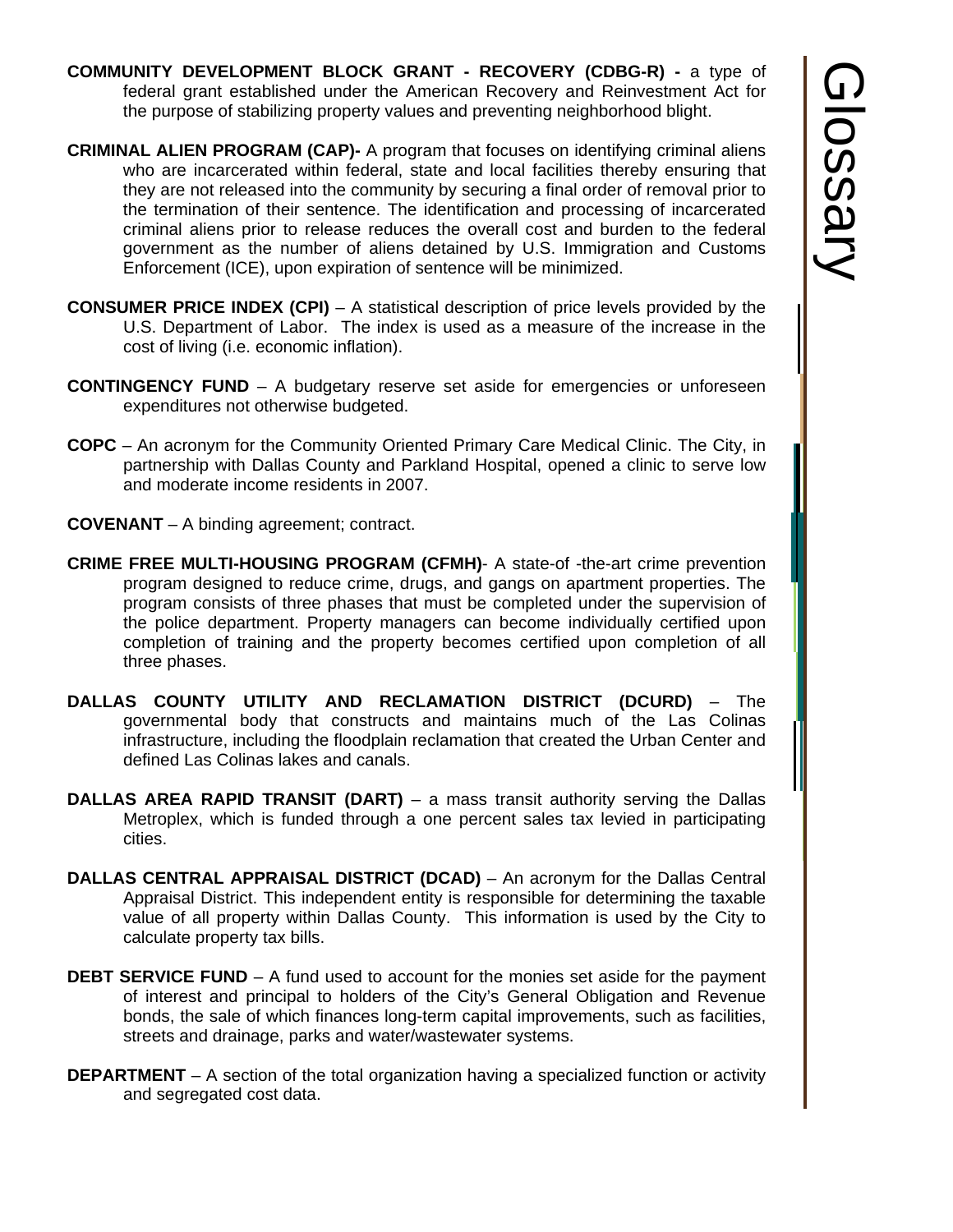- **COMMUNITY DEVELOPMENT BLOCK GRANT RECOVERY (CDBG-R)** a type of federal grant established under the American Recovery and Reinvestment Act for the purpose of stabilizing property values and preventing neighborhood blight.
- **CRIMINAL ALIEN PROGRAM (CAP)-** A program that focuses on identifying criminal aliens who are incarcerated within federal, state and local facilities thereby ensuring that they are not released into the community by securing a final order of removal prior to the termination of their sentence. The identification and processing of incarcerated criminal aliens prior to release reduces the overall cost and burden to the federal government as the number of aliens detained by U.S. Immigration and Customs Enforcement (ICE), upon expiration of sentence will be minimized.
- **CONSUMER PRICE INDEX (CPI)** A statistical description of price levels provided by the U.S. Department of Labor. The index is used as a measure of the increase in the cost of living (i.e. economic inflation).
- **CONTINGENCY FUND** A budgetary reserve set aside for emergencies or unforeseen expenditures not otherwise budgeted.
- **COPC** An acronym for the Community Oriented Primary Care Medical Clinic. The City, in partnership with Dallas County and Parkland Hospital, opened a clinic to serve low and moderate income residents in 2007.
- **COVENANT** A binding agreement; contract.
- **CRIME FREE MULTI-HOUSING PROGRAM (CFMH)** A state-of -the-art crime prevention program designed to reduce crime, drugs, and gangs on apartment properties. The program consists of three phases that must be completed under the supervision of the police department. Property managers can become individually certified upon completion of training and the property becomes certified upon completion of all three phases.
- **DALLAS COUNTY UTILITY AND RECLAMATION DISTRICT (DCURD)**  The governmental body that constructs and maintains much of the Las Colinas infrastructure, including the floodplain reclamation that created the Urban Center and defined Las Colinas lakes and canals.
- **DALLAS AREA RAPID TRANSIT (DART)** a mass transit authority serving the Dallas Metroplex, which is funded through a one percent sales tax levied in participating cities.
- **DALLAS CENTRAL APPRAISAL DISTRICT (DCAD)** An acronym for the Dallas Central Appraisal District. This independent entity is responsible for determining the taxable value of all property within Dallas County. This information is used by the City to calculate property tax bills.
- **DEBT SERVICE FUND** A fund used to account for the monies set aside for the payment of interest and principal to holders of the City's General Obligation and Revenue bonds, the sale of which finances long-term capital improvements, such as facilities, streets and drainage, parks and water/wastewater systems.
- **DEPARTMENT** A section of the total organization having a specialized function or activity and segregated cost data.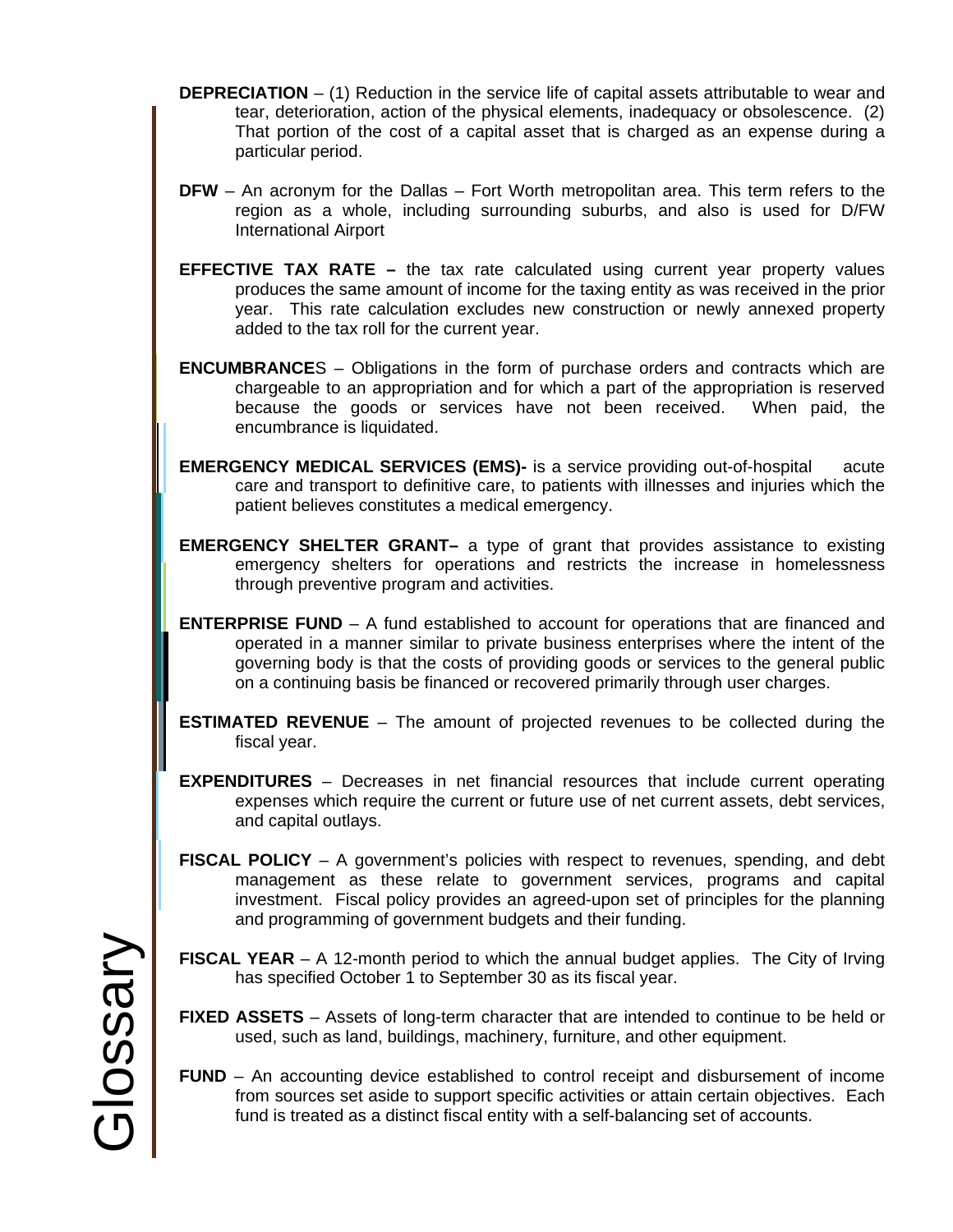- **DEPRECIATION** (1) Reduction in the service life of capital assets attributable to wear and tear, deterioration, action of the physical elements, inadequacy or obsolescence. (2) That portion of the cost of a capital asset that is charged as an expense during a particular period.
- **DFW** An acronym for the Dallas Fort Worth metropolitan area. This term refers to the region as a whole, including surrounding suburbs, and also is used for D/FW International Airport
- **EFFECTIVE TAX RATE** the tax rate calculated using current year property values produces the same amount of income for the taxing entity as was received in the prior year. This rate calculation excludes new construction or newly annexed property added to the tax roll for the current year.
- **ENCUMBRANCE**S Obligations in the form of purchase orders and contracts which are chargeable to an appropriation and for which a part of the appropriation is reserved because the goods or services have not been received. When paid, the encumbrance is liquidated.
- **EMERGENCY MEDICAL SERVICES (EMS)-** is a service providing out-of-hospital acute care and transport to definitive care, to patients with illnesses and injuries which the patient believes constitutes a medical emergency.
- **EMERGENCY SHELTER GRANT–** a type of grant that provides assistance to existing emergency shelters for operations and restricts the increase in homelessness through preventive program and activities.
- **ENTERPRISE FUND** A fund established to account for operations that are financed and operated in a manner similar to private business enterprises where the intent of the governing body is that the costs of providing goods or services to the general public on a continuing basis be financed or recovered primarily through user charges.
- **ESTIMATED REVENUE** The amount of projected revenues to be collected during the fiscal year.
- **EXPENDITURES**  Decreases in net financial resources that include current operating expenses which require the current or future use of net current assets, debt services, and capital outlays.
- **FISCAL POLICY** A government's policies with respect to revenues, spending, and debt management as these relate to government services, programs and capital investment. Fiscal policy provides an agreed-upon set of principles for the planning and programming of government budgets and their funding.
- **FISCAL YEAR** A 12-month period to which the annual budget applies. The City of Irving has specified October 1 to September 30 as its fiscal year.
- **FIXED ASSETS**  Assets of long-term character that are intended to continue to be held or used, such as land, buildings, machinery, furniture, and other equipment.
- **FUND** An accounting device established to control receipt and disbursement of income from sources set aside to support specific activities or attain certain objectives. Each fund is treated as a distinct fiscal entity with a self-balancing set of accounts.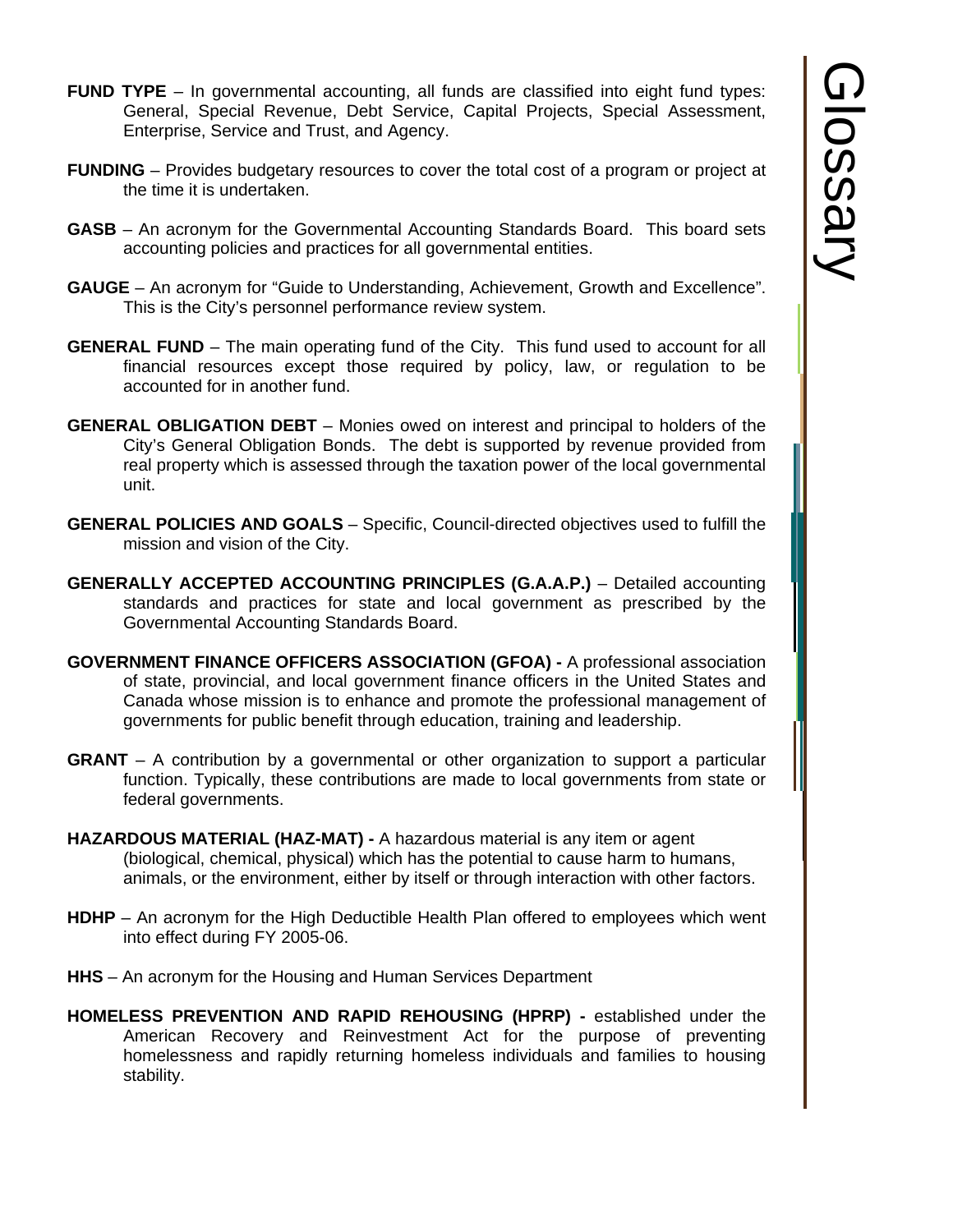- **FUND TYPE** In governmental accounting, all funds are classified into eight fund types: General, Special Revenue, Debt Service, Capital Projects, Special Assessment, Enterprise, Service and Trust, and Agency.
- **FUNDING** Provides budgetary resources to cover the total cost of a program or project at the time it is undertaken.
- **GASB** An acronym for the Governmental Accounting Standards Board. This board sets accounting policies and practices for all governmental entities.
- **GAUGE** An acronym for "Guide to Understanding, Achievement, Growth and Excellence". This is the City's personnel performance review system.
- **GENERAL FUND** The main operating fund of the City. This fund used to account for all financial resources except those required by policy, law, or regulation to be accounted for in another fund.
- **GENERAL OBLIGATION DEBT** Monies owed on interest and principal to holders of the City's General Obligation Bonds. The debt is supported by revenue provided from real property which is assessed through the taxation power of the local governmental unit.
- **GENERAL POLICIES AND GOALS**  Specific, Council-directed objectives used to fulfill the mission and vision of the City.
- **GENERALLY ACCEPTED ACCOUNTING PRINCIPLES (G.A.A.P.)** Detailed accounting standards and practices for state and local government as prescribed by the Governmental Accounting Standards Board.
- **GOVERNMENT FINANCE OFFICERS ASSOCIATION (GFOA)** A professional association of state, provincial, and local government finance officers in the United States and Canada whose mission is to enhance and promote the professional management of governments for public benefit through education, training and leadership.
- **GRANT** A contribution by a governmental or other organization to support a particular function. Typically, these contributions are made to local governments from state or federal governments.
- **HAZARDOUS MATERIAL (HAZ-MAT)** A hazardous material is any item or agent (biological, chemical, physical) which has the potential to cause harm to humans, animals, or the environment, either by itself or through interaction with other factors.
- **HDHP**  An acronym for the High Deductible Health Plan offered to employees which went into effect during FY 2005-06.
- **HHS**  An acronym for the Housing and Human Services Department
- **HOMELESS PREVENTION AND RAPID REHOUSING (HPRP)** established under the American Recovery and Reinvestment Act for the purpose of preventing homelessness and rapidly returning homeless individuals and families to housing stability.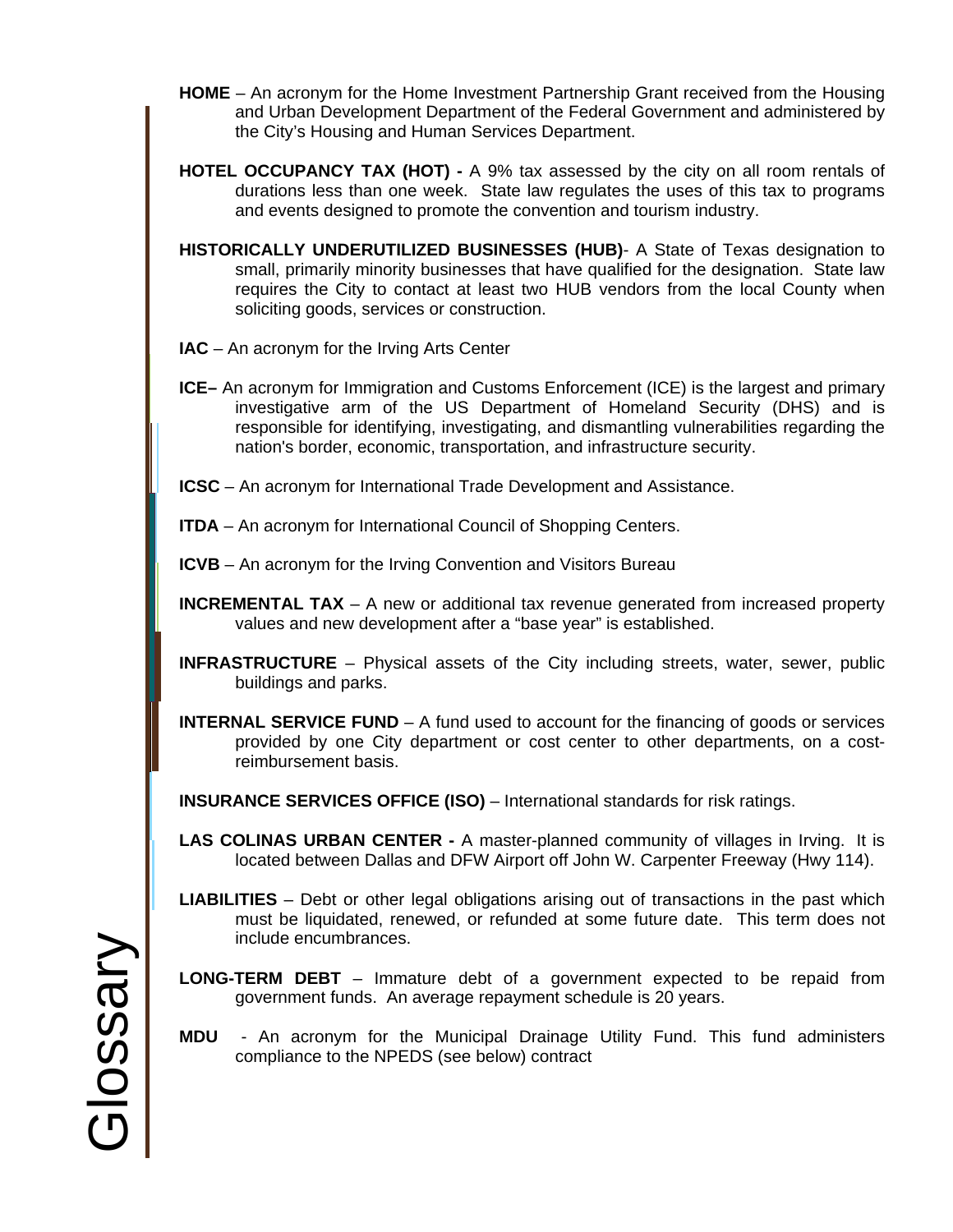- **HOME** An acronym for the Home Investment Partnership Grant received from the Housing and Urban Development Department of the Federal Government and administered by the City's Housing and Human Services Department.
- **HOTEL OCCUPANCY TAX (HOT)** A 9% tax assessed by the city on all room rentals of durations less than one week. State law regulates the uses of this tax to programs and events designed to promote the convention and tourism industry.
- **HISTORICALLY UNDERUTILIZED BUSINESSES (HUB)** A State of Texas designation to small, primarily minority businesses that have qualified for the designation. State law requires the City to contact at least two HUB vendors from the local County when soliciting goods, services or construction.
- **IAC** An acronym for the Irving Arts Center
- **ICE–** An acronym for Immigration and Customs Enforcement (ICE) is the largest and primary investigative arm of the US Department of Homeland Security (DHS) and is responsible for identifying, investigating, and dismantling vulnerabilities regarding the nation's border, economic, transportation, and infrastructure security.
- **ICSC** An acronym for International Trade Development and Assistance.
- **ITDA** An acronym for International Council of Shopping Centers.
- **ICVB** An acronym for the Irving Convention and Visitors Bureau
- **INCREMENTAL TAX** A new or additional tax revenue generated from increased property values and new development after a "base year" is established.
- **INFRASTRUCTURE** Physical assets of the City including streets, water, sewer, public buildings and parks.
- **INTERNAL SERVICE FUND** A fund used to account for the financing of goods or services provided by one City department or cost center to other departments, on a costreimbursement basis.
- **INSURANCE SERVICES OFFICE (ISO)** International standards for risk ratings.
- **LAS COLINAS URBAN CENTER** A master-planned community of villages in Irving. It is located between Dallas and DFW Airport off John W. Carpenter Freeway (Hwy 114).
- **LIABILITIES**  Debt or other legal obligations arising out of transactions in the past which must be liquidated, renewed, or refunded at some future date. This term does not include encumbrances.
- **LONG-TERM DEBT** Immature debt of a government expected to be repaid from government funds. An average repayment schedule is 20 years.
- **MDU**  An acronym for the Municipal Drainage Utility Fund. This fund administers compliance to the NPEDS (see below) contract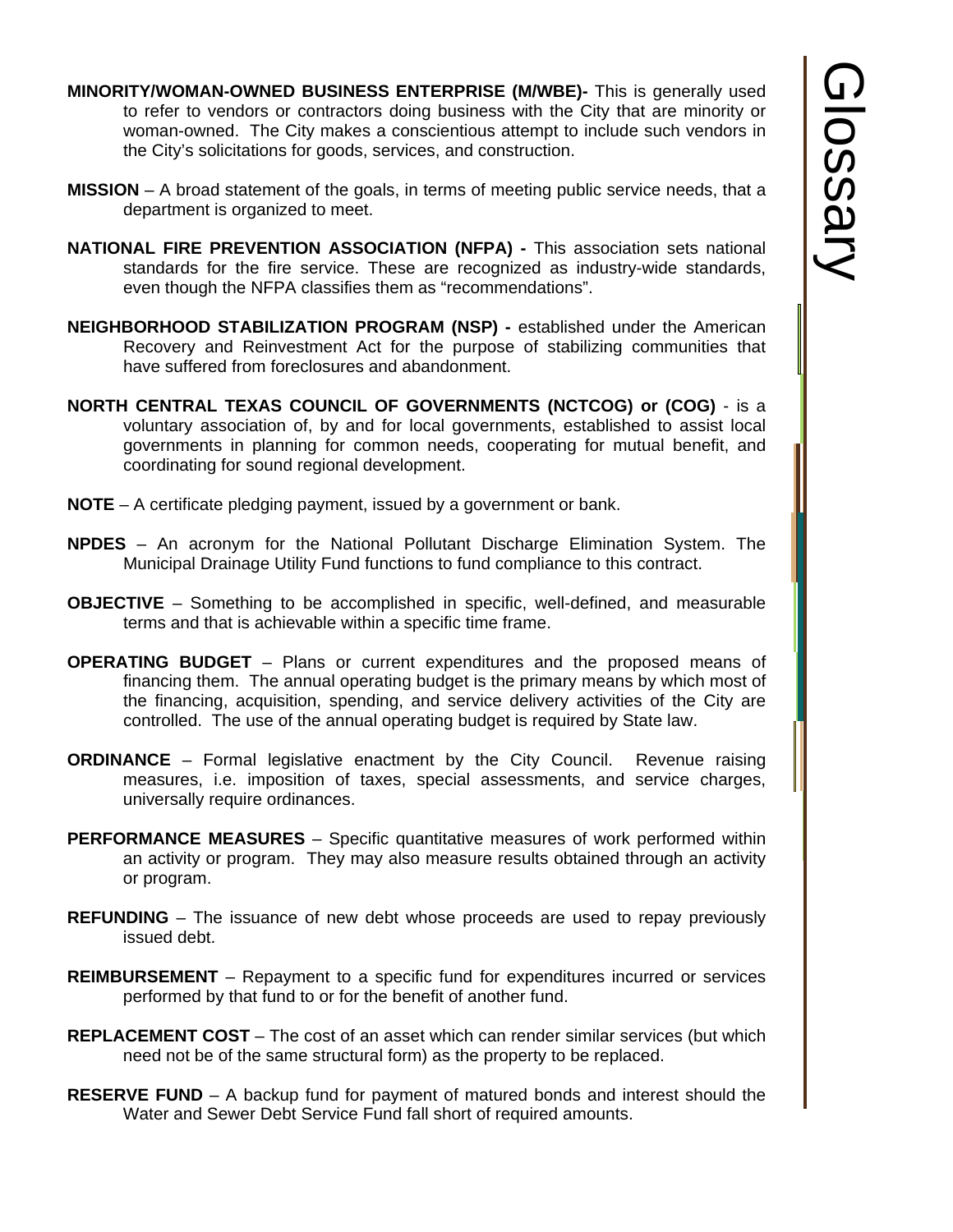- **MINORITY/WOMAN-OWNED BUSINESS ENTERPRISE (M/WBE)-** This is generally used to refer to vendors or contractors doing business with the City that are minority or woman-owned. The City makes a conscientious attempt to include such vendors in the City's solicitations for goods, services, and construction.
- **MISSION**  A broad statement of the goals, in terms of meeting public service needs, that a department is organized to meet.
- **NATIONAL FIRE PREVENTION ASSOCIATION (NFPA)** This association sets national standards for the fire service. These are recognized as industry-wide standards, even though the NFPA classifies them as "recommendations".
- **NEIGHBORHOOD STABILIZATION PROGRAM (NSP)** established under the American Recovery and Reinvestment Act for the purpose of stabilizing communities that have suffered from foreclosures and abandonment.
- **NORTH CENTRAL TEXAS COUNCIL OF GOVERNMENTS (NCTCOG) or (COG)** is a voluntary association of, by and for local governments, established to assist local governments in planning for common needs, cooperating for mutual benefit, and coordinating for sound regional development.
- **NOTE** A certificate pledging payment, issued by a government or bank.
- **NPDES** An acronym for the National Pollutant Discharge Elimination System. The Municipal Drainage Utility Fund functions to fund compliance to this contract.
- **OBJECTIVE** Something to be accomplished in specific, well-defined, and measurable terms and that is achievable within a specific time frame.
- **OPERATING BUDGET** Plans or current expenditures and the proposed means of financing them. The annual operating budget is the primary means by which most of the financing, acquisition, spending, and service delivery activities of the City are controlled. The use of the annual operating budget is required by State law.
- **ORDINANCE**  Formal legislative enactment by the City Council. Revenue raising measures, i.e. imposition of taxes, special assessments, and service charges, universally require ordinances.
- **PERFORMANCE MEASURES** Specific quantitative measures of work performed within an activity or program. They may also measure results obtained through an activity or program.
- **REFUNDING**  The issuance of new debt whose proceeds are used to repay previously issued debt.
- **REIMBURSEMENT** Repayment to a specific fund for expenditures incurred or services performed by that fund to or for the benefit of another fund.
- **REPLACEMENT COST** The cost of an asset which can render similar services (but which need not be of the same structural form) as the property to be replaced.
- **RESERVE FUND** A backup fund for payment of matured bonds and interest should the Water and Sewer Debt Service Fund fall short of required amounts.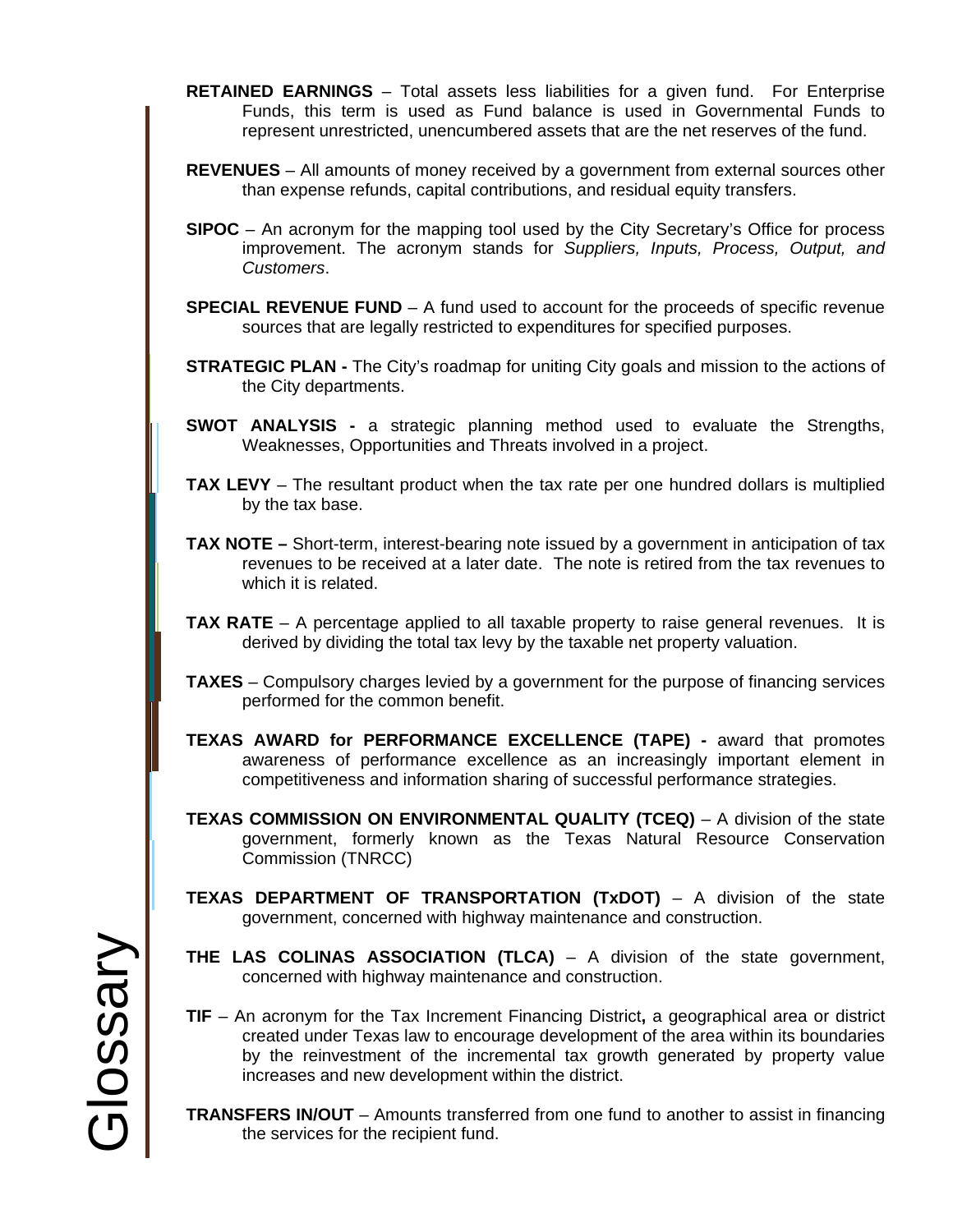- **RETAINED EARNINGS** Total assets less liabilities for a given fund. For Enterprise Funds, this term is used as Fund balance is used in Governmental Funds to represent unrestricted, unencumbered assets that are the net reserves of the fund.
- **REVENUES**  All amounts of money received by a government from external sources other than expense refunds, capital contributions, and residual equity transfers.
- **SIPOC** An acronym for the mapping tool used by the City Secretary's Office for process improvement. The acronym stands for *Suppliers, Inputs, Process, Output, and Customers*.
- **SPECIAL REVENUE FUND** A fund used to account for the proceeds of specific revenue sources that are legally restricted to expenditures for specified purposes.
- **STRATEGIC PLAN -** The City's roadmap for uniting City goals and mission to the actions of the City departments.
- **SWOT ANALYSIS -** a strategic planning method used to evaluate the Strengths, Weaknesses, Opportunities and Threats involved in a project.
- **TAX LEVY**  The resultant product when the tax rate per one hundred dollars is multiplied by the tax base.
- **TAX NOTE** Short-term, interest-bearing note issued by a government in anticipation of tax revenues to be received at a later date. The note is retired from the tax revenues to which it is related.
- **TAX RATE** A percentage applied to all taxable property to raise general revenues. It is derived by dividing the total tax levy by the taxable net property valuation.
- **TAXES** Compulsory charges levied by a government for the purpose of financing services performed for the common benefit.
- **TEXAS AWARD for PERFORMANCE EXCELLENCE (TAPE)** award that promotes awareness of performance excellence as an increasingly important element in competitiveness and information sharing of successful performance strategies.
- **TEXAS COMMISSION ON ENVIRONMENTAL QUALITY (TCEQ)** A division of the state government, formerly known as the Texas Natural Resource Conservation Commission (TNRCC)
- **TEXAS DEPARTMENT OF TRANSPORTATION (TxDOT)**  A division of the state government, concerned with highway maintenance and construction.
- **THE LAS COLINAS ASSOCIATION (TLCA)**  A division of the state government, concerned with highway maintenance and construction.
- **TIF**  An acronym for the Tax Increment Financing District**,** a geographical area or district created under Texas law to encourage development of the area within its boundaries by the reinvestment of the incremental tax growth generated by property value increases and new development within the district.
- **TRANSFERS IN/OUT** Amounts transferred from one fund to another to assist in financing the services for the recipient fund.